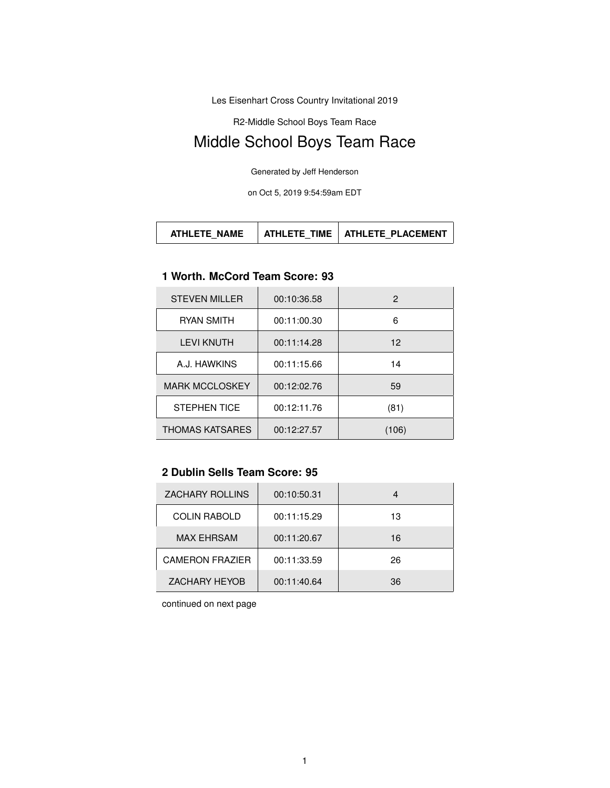Les Eisenhart Cross Country Invitational 2019

R2-Middle School Boys Team Race

# Middle School Boys Team Race

Generated by Jeff Henderson

on Oct 5, 2019 9:54:59am EDT

| <b>ATHLETE NAME</b> | ATHL FTF TIME | <b>ATHLETE PLACEMENT</b> |
|---------------------|---------------|--------------------------|
|---------------------|---------------|--------------------------|

#### **1 Worth. McCord Team Score: 93**

| <b>STEVEN MILLER</b>   | 00:10:36.58 | 2     |
|------------------------|-------------|-------|
| <b>RYAN SMITH</b>      | 00:11:00.30 | 6     |
| <b>LEVI KNUTH</b>      | 00:11:14.28 | 12    |
| A.J. HAWKINS           | 00:11:15.66 | 14    |
| <b>MARK MCCLOSKEY</b>  | 00:12:02.76 | 59    |
| <b>STEPHEN TICE</b>    | 00:12:11.76 | (81)  |
| <b>THOMAS KATSARES</b> | 00:12:27.57 | (106) |

#### **2 Dublin Sells Team Score: 95**

| <b>ZACHARY ROLLINS</b> | 00:10:50.31 |     |
|------------------------|-------------|-----|
| <b>COLIN RABOLD</b>    | 00:11:15.29 | 13  |
| <b>MAX EHRSAM</b>      | 00:11:20.67 | 16  |
| <b>CAMERON FRAZIER</b> | 00:11:33.59 | 26  |
| <b>ZACHARY HEYOB</b>   | 00:11:40.64 | 36. |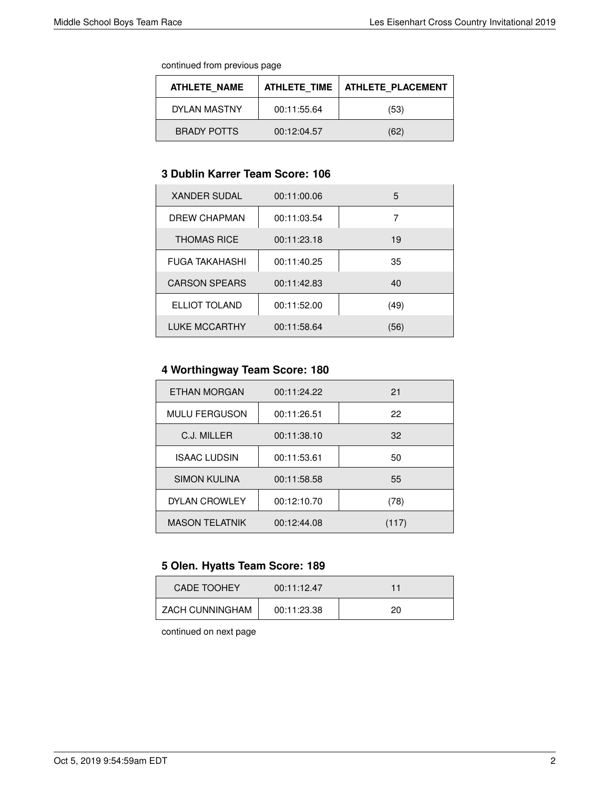| <b>ATHLETE NAME</b> | <b>ATHLETE TIME</b> | <b>ATHLETE PLACEMENT</b> |
|---------------------|---------------------|--------------------------|
| DYLAN MASTNY        | 00:11:55.64         | (53)                     |
| <b>BRADY POTTS</b>  | 00:12:04.57         | (62)                     |

#### **3 Dublin Karrer Team Score: 106**

| <b>XANDER SUDAL</b>   | 00:11:00.06 | 5    |
|-----------------------|-------------|------|
| DREW CHAPMAN          | 00:11:03.54 | 7    |
| <b>THOMAS RICE</b>    | 00:11:23.18 | 19   |
| <b>FUGA TAKAHASHI</b> | 00:11:40.25 | 35   |
| <b>CARSON SPEARS</b>  | 00:11:42.83 | 40   |
| ELLIOT TOLAND         | 00:11:52.00 | (49) |
| <b>LUKE MCCARTHY</b>  | 00:11:58.64 | (56) |

# **4 Worthingway Team Score: 180**

| ETHAN MORGAN          | 00:11:24.22 | 21    |
|-----------------------|-------------|-------|
| <b>MULU FERGUSON</b>  | 00:11:26.51 | 22    |
| C.J. MILLER           | 00:11:38.10 | 32    |
| <b>ISAAC LUDSIN</b>   | 00:11:53.61 | 50    |
| <b>SIMON KULINA</b>   | 00:11:58.58 | 55    |
| <b>DYLAN CROWLEY</b>  | 00:12:10.70 | (78)  |
| <b>MASON TELATNIK</b> | 00:12:44.08 | (117) |

# **5 Olen. Hyatts Team Score: 189**

| <b>CADE TOOHEY</b> | 00:11:12.47 | 11 |
|--------------------|-------------|----|
| ZACH CUNNINGHAM    | 00:11:23.38 | 20 |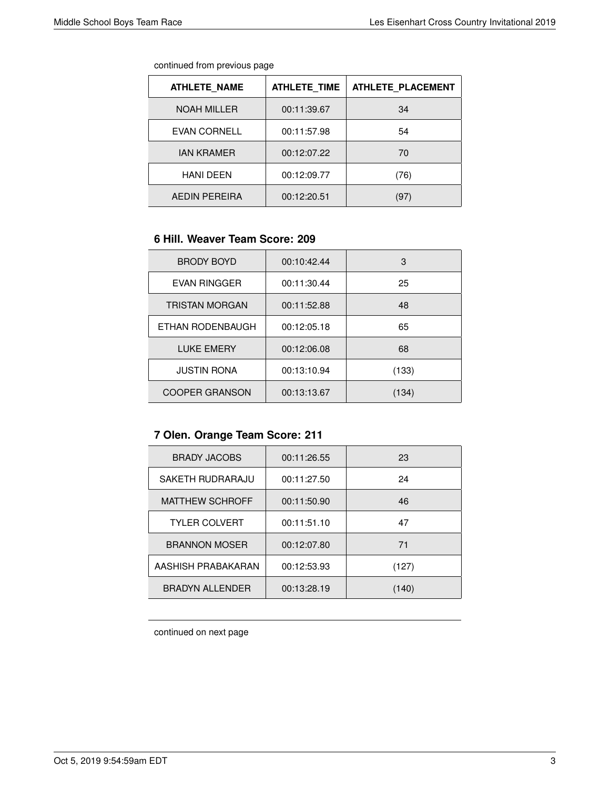| continued from previous page |  |  |
|------------------------------|--|--|
|                              |  |  |

| <b>ATHLETE NAME</b>  | <b>ATHLETE TIME</b> | <b>ATHLETE PLACEMENT</b> |
|----------------------|---------------------|--------------------------|
| <b>NOAH MILLER</b>   | 00:11:39.67         | 34                       |
| <b>EVAN CORNELL</b>  | 00:11:57.98         | 54                       |
| <b>JAN KRAMER</b>    | 00:12:07.22         | 70                       |
| <b>HANI DEEN</b>     | 00:12:09.77         | (76)                     |
| <b>AEDIN PEREIRA</b> | 00:12:20.51         | (97)                     |

#### **6 Hill. Weaver Team Score: 209**

| <b>BRODY BOYD</b>     | 00:10:42.44 | 3     |
|-----------------------|-------------|-------|
| <b>EVAN RINGGER</b>   | 00:11:30.44 | 25    |
| TRISTAN MORGAN        | 00:11:52.88 | 48    |
| ETHAN RODENBAUGH      | 00:12:05.18 | 65    |
| <b>LUKE EMERY</b>     | 00:12:06.08 | 68    |
| <b>JUSTIN RONA</b>    | 00:13:10.94 | (133) |
| <b>COOPER GRANSON</b> | 00:13:13.67 | (134) |

# **7 Olen. Orange Team Score: 211**

| <b>BRADY JACOBS</b>    | 00:11:26.55 | 23    |
|------------------------|-------------|-------|
| SAKETH RUDRARAJU       | 00:11:27.50 | 24    |
| <b>MATTHEW SCHROFF</b> | 00:11:50.90 | 46    |
| <b>TYLER COLVERT</b>   | 00:11:51.10 | 47    |
| <b>BRANNON MOSER</b>   | 00:12:07.80 | 71    |
| AASHISH PRABAKARAN     | 00:12:53.93 | (127) |
| BRADYN ALL ENDER       | 00:13:28.19 | (140) |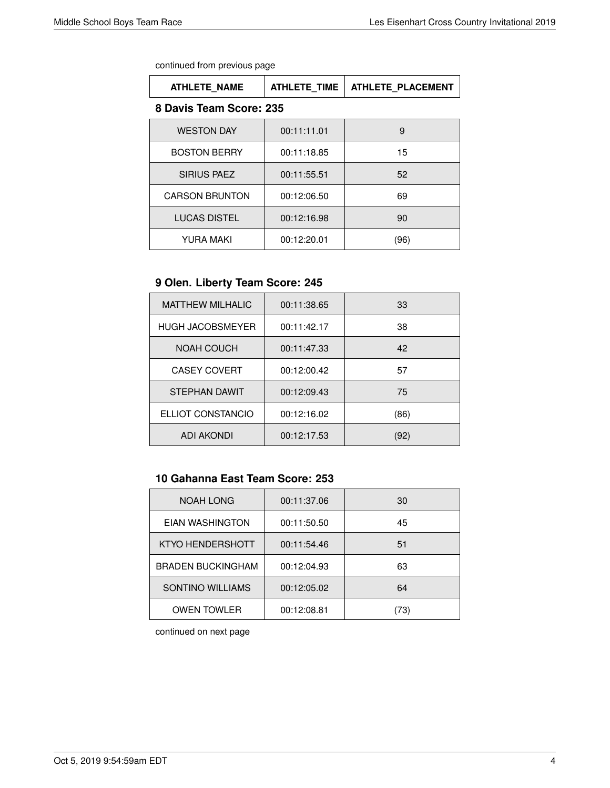| <b>ATHLETE NAME</b>     | <b>ATHLETE TIME</b> | <b>ATHLETE PLACEMENT</b> |
|-------------------------|---------------------|--------------------------|
| 8 Davis Team Score: 235 |                     |                          |
| <b>WESTON DAY</b>       | 00:11:11.01         | 9                        |
| <b>BOSTON BERRY</b>     | 00:11:18.85         | 15                       |
| <b>SIRIUS PAEZ</b>      | 00:11:55.51         | 52                       |
| <b>CARSON BRUNTON</b>   | 00:12:06.50         | 69                       |
| <b>LUCAS DISTEL</b>     | 00:12:16.98         | 90                       |
| YURA MAKI               | 00:12:20.01         | (96)                     |

# **9 Olen. Liberty Team Score: 245**

| <b>MATTHEW MILHALIC</b> | 00:11:38.65 | 33   |
|-------------------------|-------------|------|
| <b>HUGH JACOBSMEYER</b> | 00:11:42.17 | 38   |
| NOAH COUCH              | 00:11:47.33 | 42   |
| <b>CASEY COVERT</b>     | 00:12:00.42 | 57   |
| STEPHAN DAWIT           | 00:12:09.43 | 75   |
| ELLIOT CONSTANCIO       | 00:12:16.02 | (86) |
| <b>ADI AKONDI</b>       | 00:12:17.53 | (92) |

# **10 Gahanna East Team Score: 253**

| <b>NOAH LONG</b>         | 00:11:37.06 | 30  |
|--------------------------|-------------|-----|
| EIAN WASHINGTON          | 00:11:50.50 | 45  |
| KTYO HENDERSHOTT         | 00:11:54.46 | 51  |
| <b>BRADEN BUCKINGHAM</b> | 00:12:04.93 | 63  |
| SONTINO WILLIAMS         | 00:12:05.02 | 64  |
| <b>OWEN TOWLER</b>       | 00:12:08.81 | 73) |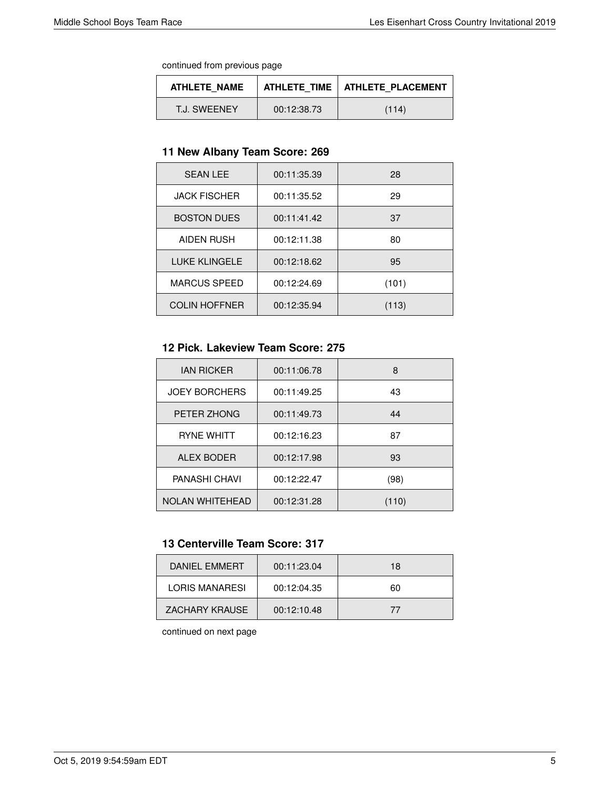| ATHLETE NAME | <b>ATHLETE TIME</b> I | <b>ATHLETE PLACEMENT</b> |
|--------------|-----------------------|--------------------------|
| T.J. SWEENEY | 00:12:38.73           | (114)                    |

#### **11 New Albany Team Score: 269**

| <b>SEAN LEE</b>      | 00:11:35.39 | 28    |
|----------------------|-------------|-------|
| <b>JACK FISCHER</b>  | 00:11:35.52 | 29    |
| <b>BOSTON DUES</b>   | 00:11:41.42 | 37    |
| <b>AIDEN RUSH</b>    | 00:12:11.38 | 80    |
| <b>LUKE KLINGELE</b> | 00:12:18.62 | 95    |
| <b>MARCUS SPEED</b>  | 00:12:24.69 | (101) |
| <b>COLIN HOFFNER</b> | 00:12:35.94 | (113) |

## **12 Pick. Lakeview Team Score: 275**

| <b>JAN RICKER</b>      | 00:11:06.78 | 8     |
|------------------------|-------------|-------|
| <b>JOEY BORCHERS</b>   | 00:11:49.25 | 43    |
| PETER ZHONG            | 00:11:49.73 | 44    |
| <b>RYNE WHITT</b>      | 00:12:16.23 | 87    |
| <b>ALEX BODER</b>      | 00:12:17.98 | 93    |
| PANASHI CHAVI          | 00:12:22.47 | (98)  |
| <b>NOLAN WHITEHEAD</b> | 00:12:31.28 | (110) |

## **13 Centerville Team Score: 317**

| DANIFI FMMFRT  | 00:11:23.04 | 18 |
|----------------|-------------|----|
| LORIS MANARESI | 00:12:04.35 | 60 |
| ZACHARY KRAUSE | 00:12:10.48 | 77 |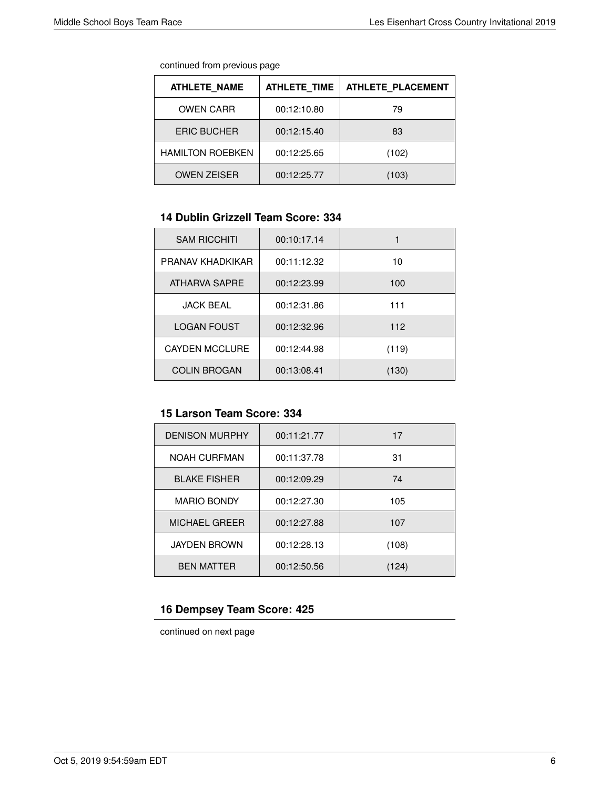| continued from previous page |  |  |
|------------------------------|--|--|
|                              |  |  |

| <b>ATHLETE NAME</b>     | <b>ATHLETE TIME</b> | <b>ATHLETE PLACEMENT</b> |
|-------------------------|---------------------|--------------------------|
| <b>OWEN CARR</b>        | 00:12:10.80         | 79                       |
| <b>ERIC BUCHER</b>      | 00:12:15.40         | 83                       |
| <b>HAMILTON ROEBKEN</b> | 00:12:25.65         | (102)                    |
| <b>OWEN ZEISER</b>      | 00:12:25.77         | (103)                    |

# **14 Dublin Grizzell Team Score: 334**

| <b>SAM RICCHITI</b>   | 00:10:17.14 |       |
|-----------------------|-------------|-------|
| PRANAV KHADKIKAR      | 00:11:12.32 | 10    |
| ATHARVA SAPRE         | 00:12:23.99 | 100   |
| <b>JACK BEAL</b>      | 00:12:31.86 | 111   |
| <b>LOGAN FOUST</b>    | 00:12:32.96 | 112   |
| <b>CAYDEN MCCLURE</b> | 00:12:44.98 | (119) |
| <b>COLIN BROGAN</b>   | 00:13:08.41 | (130) |

# **15 Larson Team Score: 334**

| <b>DENISON MURPHY</b> | 00:11:21.77 | 17    |
|-----------------------|-------------|-------|
| <b>NOAH CURFMAN</b>   | 00:11:37.78 | 31    |
| <b>BLAKE FISHER</b>   | 00:12:09.29 | 74    |
| <b>MARIO BONDY</b>    | 00:12:27.30 | 105   |
| <b>MICHAEL GREER</b>  | 00:12:27.88 | 107   |
| <b>JAYDEN BROWN</b>   | 00:12:28.13 | (108) |
| <b>BEN MATTER</b>     | 00:12:50.56 | 124)  |

#### **16 Dempsey Team Score: 425**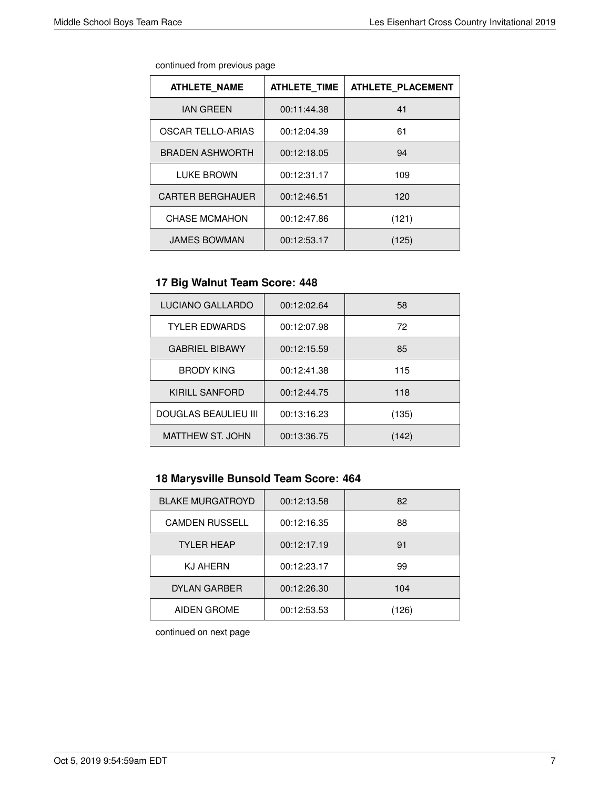| continued from previous page |  |  |
|------------------------------|--|--|
|                              |  |  |

| <b>ATHLETE NAME</b>      | <b>ATHLETE TIME</b> | <b>ATHLETE PLACEMENT</b> |
|--------------------------|---------------------|--------------------------|
| <b>IAN GREEN</b>         | 00:11:44.38         | 41                       |
| <b>OSCAR TELLO-ARIAS</b> | 00:12:04.39         | 61                       |
| <b>BRADEN ASHWORTH</b>   | 00:12:18.05         | 94                       |
| LUKE BROWN               | 00:12:31.17         | 109                      |
| <b>CARTER BERGHAUER</b>  | 00:12:46.51         | 120                      |
| <b>CHASE MCMAHON</b>     | 00:12:47.86         | (121)                    |
| <b>JAMES BOWMAN</b>      | 00:12:53.17         | (125)                    |

# **17 Big Walnut Team Score: 448**

| LUCIANO GALLARDO      | 00:12:02.64 | 58    |
|-----------------------|-------------|-------|
| <b>TYLER EDWARDS</b>  | 00:12:07.98 | 72    |
| <b>GABRIEL BIBAWY</b> | 00:12:15.59 | 85    |
| <b>BRODY KING</b>     | 00:12:41.38 | 115   |
| KIRILL SANFORD        | 00:12:44.75 | 118   |
| DOUGLAS BEAULIEU III  | 00:13:16.23 | (135) |
| MATTHEW ST. JOHN      | 00:13:36.75 | (142) |

# **18 Marysville Bunsold Team Score: 464**

| <b>BLAKE MURGATROYD</b> | 00:12:13.58 | 82    |
|-------------------------|-------------|-------|
| <b>CAMDEN RUSSELL</b>   | 00:12:16.35 | 88    |
| <b>TYLER HEAP</b>       | 00:12:17.19 | 91    |
| <b>KJ AHERN</b>         | 00:12:23.17 | 99    |
| <b>DYLAN GARBER</b>     | 00:12:26.30 | 104   |
| AIDEN GROME             | 00:12:53.53 | (126) |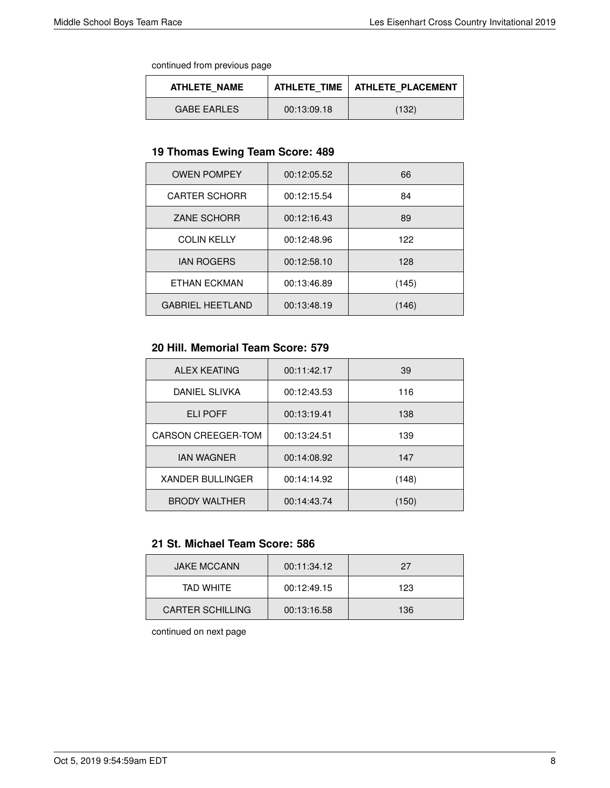| ATHLETE NAME       |             | ATHLETE TIME   ATHLETE PLACEMENT |
|--------------------|-------------|----------------------------------|
| <b>GABE EARLES</b> | 00:13:09.18 | (132)                            |

#### **19 Thomas Ewing Team Score: 489**

| <b>OWEN POMPEY</b>      | 00:12:05.52 | 66    |
|-------------------------|-------------|-------|
| <b>CARTER SCHORR</b>    | 00:12:15.54 | 84    |
| <b>ZANE SCHORR</b>      | 00:12:16.43 | 89    |
| <b>COLIN KELLY</b>      | 00:12:48.96 | 122   |
| <b>JAN ROGERS</b>       | 00:12:58.10 | 128   |
| ETHAN ECKMAN            | 00:13:46.89 | (145) |
| <b>GABRIEL HEETLAND</b> | 00:13:48.19 | (146) |

#### **20 Hill. Memorial Team Score: 579**

| <b>ALEX KEATING</b>       | 00:11:42.17 | 39    |
|---------------------------|-------------|-------|
| DANIEL SLIVKA             | 00:12:43.53 | 116   |
| ELI POFF                  | 00:13:19.41 | 138   |
| <b>CARSON CREEGER-TOM</b> | 00:13:24.51 | 139   |
| <b>JAN WAGNER</b>         | 00:14:08.92 | 147   |
| <b>XANDER BULLINGER</b>   | 00:14:14.92 | (148) |
| <b>BRODY WALTHER</b>      | 00:14:43.74 | (150) |

#### **21 St. Michael Team Score: 586**

| <b>JAKE MCCANN</b>      | 00:11:34.12 | 27  |
|-------------------------|-------------|-----|
| TAD WHITF               | 00:12:49.15 | 123 |
| <b>CARTER SCHILLING</b> | 00:13:16.58 | 136 |